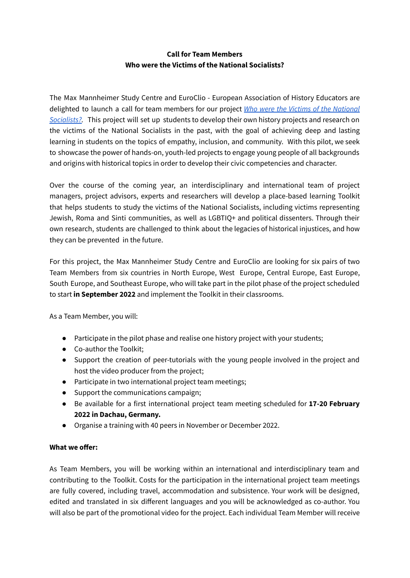# **Call for Team Members Who were the Victims of the National Socialists?**

The Max Mannheimer Study Centre and EuroClio - European Association of History Educators are delighted to launch a call for team members for our project *Who were the Victims of the [National](https://www.euroclio.eu/2021/11/10/a-new-euroclio-project-who-were-the-victims-of-the-national-socialists/) [Socialists?.](https://www.euroclio.eu/2021/11/10/a-new-euroclio-project-who-were-the-victims-of-the-national-socialists/)* This project will set up students to develop their own history projects and research on the victims of the National Socialists in the past, with the goal of achieving deep and lasting learning in students on the topics of empathy, inclusion, and community. With this pilot, we seek to showcase the power of hands-on, youth-led projects to engage young people of all backgrounds and origins with historical topics in order to develop their civic competencies and character.

Over the course of the coming year, an interdisciplinary and international team of project managers, project advisors, experts and researchers will develop a place-based learning Toolkit that helps students to study the victims of the National Socialists, including victims representing Jewish, Roma and Sinti communities, as well as LGBTIQ+ and political dissenters. Through their own research, students are challenged to think about the legacies of historical injustices, and how they can be prevented in the future.

For this project, the Max Mannheimer Study Centre and EuroClio are looking for six pairs of two Team Members from six countries in North Europe, West Europe, Central Europe, East Europe, South Europe, and Southeast Europe, who will take part in the pilot phase of the project scheduled to start **in September 2022** and implement the Toolkit in their classrooms.

As a Team Member, you will:

- Participate in the pilot phase and realise one history project with your students;
- Co-author the Toolkit;
- Support the creation of peer-tutorials with the young people involved in the project and host the video producer from the project;
- Participate in two international project team meetings;
- Support the communications campaign;
- Be available for a first international project team meeting scheduled for **17-20 February 2022 in Dachau, Germany.**
- Organise a training with 40 peers in November or December 2022.

#### **What we offer:**

As Team Members, you will be working within an international and interdisciplinary team and contributing to the Toolkit. Costs for the participation in the international project team meetings are fully covered, including travel, accommodation and subsistence. Your work will be designed, edited and translated in six different languages and you will be acknowledged as co-author. You will also be part of the promotional video for the project. Each individual Team Member will receive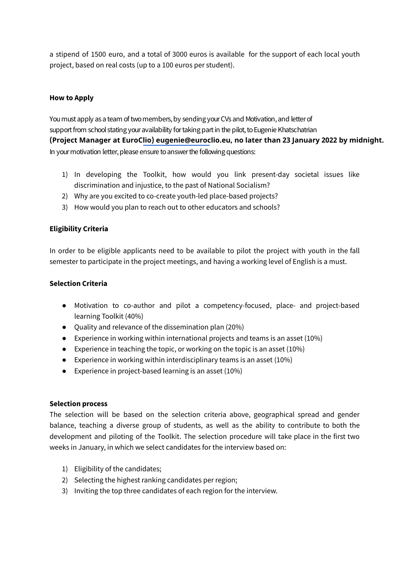a stipend of 1500 euro, and a total of 3000 euros is available for the support of each local youth project, based on real costs (up to a 100 euros per student).

# **How to Apply**

You must apply as a team of two members, by sending your CVs and Motivation, and letter of support from school stating your availability for taking part in the pilot, to Eugenie Khatschatrian In your motivation letter, please ensure to answer the following questions: **(Project Manager at EuroC[lio\) eugenie@euroc](mailto:eugenie@euroclio.eu)lio.eu, no later than 23 January 2022 by midnight.**

- 1) In developing the Toolkit, how would you link present-day societal issues like discrimination and injustice, to the past of National Socialism?
- 2) Why are you excited to co-create youth-led place-based projects?
- 3) How would you plan to reach out to other educators and schools?

#### **Eligibility Criteria**

In order to be eligible applicants need to be available to pilot the project with youth in the fall semester to participate in the project meetings, and having a working level of English is a must.

#### **Selection Criteria**

- Motivation to co-author and pilot a competency-focused, place- and project-based learning Toolkit (40%)
- Quality and relevance of the dissemination plan (20%)
- Experience in working within international projects and teams is an asset  $(10\%)$
- Experience in teaching the topic, or working on the topic is an asset (10%)
- **•** Experience in working within interdisciplinary teams is an asset  $(10\%)$
- Experience in project-based learning is an asset (10%)

#### **Selection process**

The selection will be based on the selection criteria above, geographical spread and gender balance, teaching a diverse group of students, as well as the ability to contribute to both the development and piloting of the Toolkit. The selection procedure will take place in the first two weeks in January, in which we select candidates for the interview based on:

- 1) Eligibility of the candidates;
- 2) Selecting the highest ranking candidates per region;
- 3) Inviting the top three candidates of each region for the interview.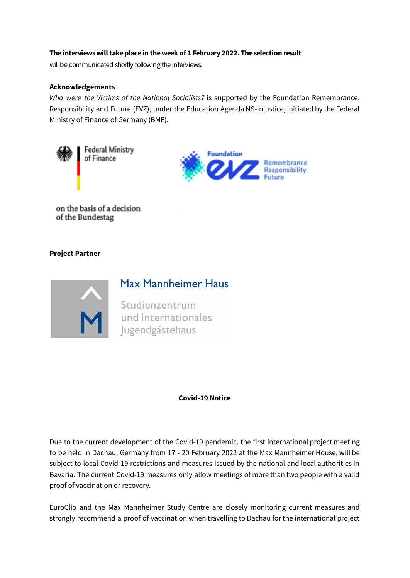### **Theinterviewswilltakeplacein theweek of 1 February 2022. Theselection result**

will be communicated shortly following the interviews.

#### **Acknowledgements**

*Who were the Victims of the National Socialists?* is supported by the Foundation Remembrance, Responsibility and Future (EVZ), under the Education Agenda NS-Injustice, initiated by the Federal Ministry of Finance of Germany (BMF).





on the basis of a decision of the Bundestag

# **Project Partner**



# Max Mannheimer Haus

Studienzentrum<br>
und Internationales<br>
Jugendgästehaus

#### **Covid-19 Notice**

Due to the current development of the Covid-19 pandemic, the first international project meeting to be held in Dachau, Germany from 17 - 20 February 2022 at the Max Mannheimer House, will be subject to local Covid-19 restrictions and measures issued by the national and local authorities in Bavaria. The current Covid-19 measures only allow meetings of more than two people with a valid proof of vaccination or recovery.

EuroClio and the Max Mannheimer Study Centre are closely monitoring current measures and strongly recommend a proof of vaccination when travelling to Dachau for the international project